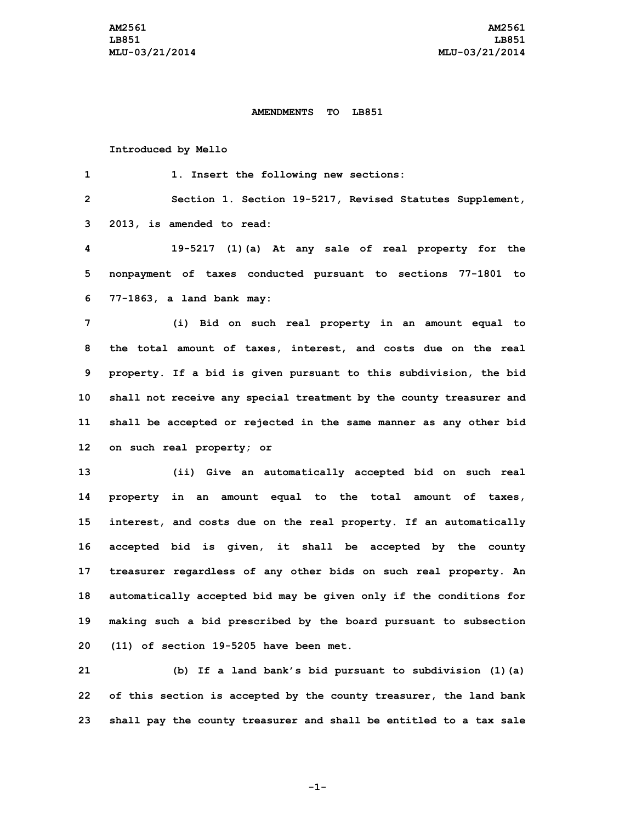## **AMENDMENTS TO LB851**

## **Introduced by Mello**

 **1. Insert the following new sections: Section 1. Section 19-5217, Revised Statutes Supplement, 2013, is amended to read: 19-5217 (1)(a) At any sale of real property for the nonpayment of taxes conducted pursuant to sections 77-1801 to 77-1863, <sup>a</sup> land bank may: (i) Bid on such real property in an amount equal to the total amount of taxes, interest, and costs due on the real property. If <sup>a</sup> bid is given pursuant to this subdivision, the bid shall not receive any special treatment by the county treasurer and shall be accepted or rejected in the same manner as any other bid on such real property; or (ii) Give an automatically accepted bid on such real property in an amount equal to the total amount of taxes, interest, and costs due on the real property. If an automatically accepted bid is given, it shall be accepted by the county treasurer regardless of any other bids on such real property. An automatically accepted bid may be given only if the conditions for making such <sup>a</sup> bid prescribed by the board pursuant to subsection (11) of section 19-5205 have been met.**

**21 (b) If <sup>a</sup> land bank's bid pursuant to subdivision (1)(a) 22 of this section is accepted by the county treasurer, the land bank 23 shall pay the county treasurer and shall be entitled to <sup>a</sup> tax sale**

**-1-**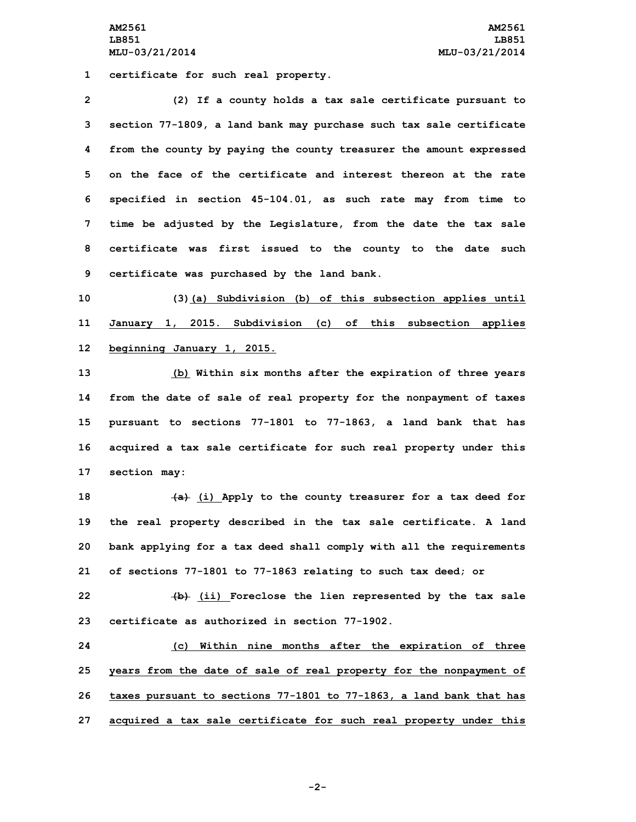**AM2561 AM2561 LB851 LB851 MLU-03/21/2014 MLU-03/21/2014**

**1 certificate for such real property.**

 **(2) If <sup>a</sup> county holds <sup>a</sup> tax sale certificate pursuant to section 77-1809, <sup>a</sup> land bank may purchase such tax sale certificate from the county by paying the county treasurer the amount expressed on the face of the certificate and interest thereon at the rate specified in section 45-104.01, as such rate may from time to time be adjusted by the Legislature, from the date the tax sale certificate was first issued to the county to the date such certificate was purchased by the land bank.**

**10 (3)(a) Subdivision (b) of this subsection applies until 11 January 1, 2015. Subdivision (c) of this subsection applies 12 beginning January 1, 2015.**

 **(b) Within six months after the expiration of three years from the date of sale of real property for the nonpayment of taxes pursuant to sections 77-1801 to 77-1863, <sup>a</sup> land bank that has acquired <sup>a</sup> tax sale certificate for such real property under this section may:**

 **(a) (i) Apply to the county treasurer for <sup>a</sup> tax deed for the real property described in the tax sale certificate. <sup>A</sup> land bank applying for <sup>a</sup> tax deed shall comply with all the requirements of sections 77-1801 to 77-1863 relating to such tax deed; or**

**22 (b) (ii) Foreclose the lien represented by the tax sale 23 certificate as authorized in section 77-1902.**

 **(c) Within nine months after the expiration of three years from the date of sale of real property for the nonpayment of taxes pursuant to sections 77-1801 to 77-1863, <sup>a</sup> land bank that has acquired <sup>a</sup> tax sale certificate for such real property under this**

**-2-**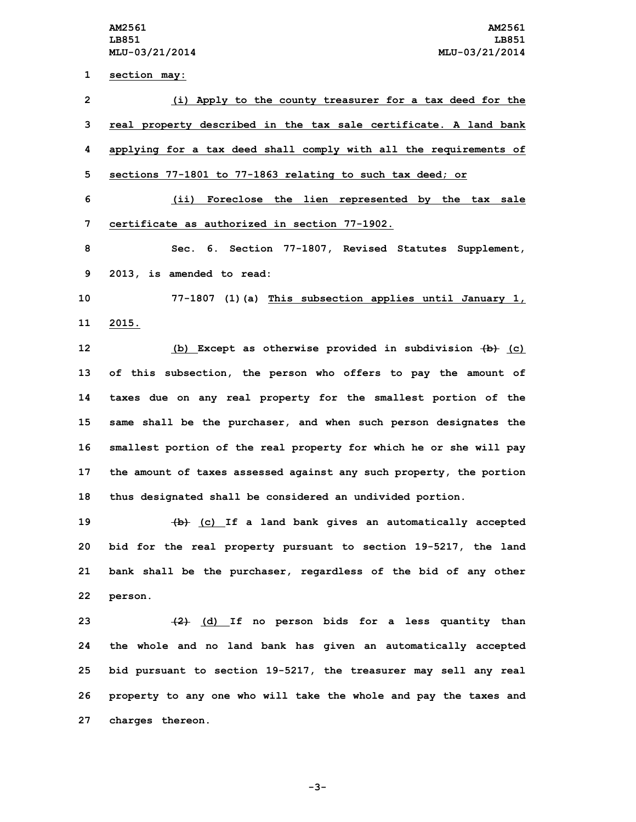**section may: (i) Apply to the county treasurer for <sup>a</sup> tax deed for the real property described in the tax sale certificate. <sup>A</sup> land bank applying for <sup>a</sup> tax deed shall comply with all the requirements of sections 77-1801 to 77-1863 relating to such tax deed; or (ii) Foreclose the lien represented by the tax sale certificate as authorized in section 77-1902. Sec. 6. Section 77-1807, Revised Statutes Supplement, 2013, is amended to read: 77-1807 (1)(a) This subsection applies until January 1, 11 2015. (b) Except as otherwise provided in subdivision (b) (c) of this subsection, the person who offers to pay the amount of taxes due on any real property for the smallest portion of the same shall be the purchaser, and when such person designates the smallest portion of the real property for which he or she will pay the amount of taxes assessed against any such property, the portion thus designated shall be considered an undivided portion. (b) (c) If <sup>a</sup> land bank gives an automatically accepted bid for the real property pursuant to section 19-5217, the land bank shall be the purchaser, regardless of the bid of any other 22 person. (2) (d) If no person bids for <sup>a</sup> less quantity than the whole and no land bank has given an automatically accepted bid pursuant to section 19-5217, the treasurer may sell any real property to any one who will take the whole and pay the taxes and**

**27 charges thereon.**

**-3-**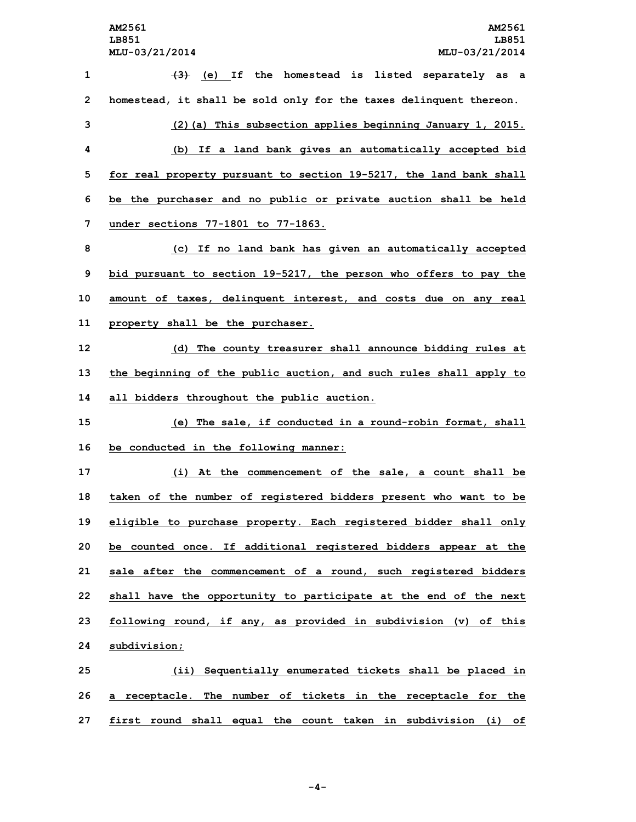**(3) (e) If the homestead is listed separately as <sup>a</sup> homestead, it shall be sold only for the taxes delinquent thereon. (2)(a) This subsection applies beginning January 1, 2015. (b) If <sup>a</sup> land bank gives an automatically accepted bid for real property pursuant to section 19-5217, the land bank shall be the purchaser and no public or private auction shall be held under sections 77-1801 to 77-1863. (c) If no land bank has given an automatically accepted bid pursuant to section 19-5217, the person who offers to pay the amount of taxes, delinquent interest, and costs due on any real property shall be the purchaser. (d) The county treasurer shall announce bidding rules at the beginning of the public auction, and such rules shall apply to all bidders throughout the public auction. (e) The sale, if conducted in <sup>a</sup> round-robin format, shall be conducted in the following manner: (i) At the commencement of the sale, <sup>a</sup> count shall be taken of the number of registered bidders present who want to be eligible to purchase property. Each registered bidder shall only be counted once. If additional registered bidders appear at the sale after the commencement of <sup>a</sup> round, such registered bidders shall have the opportunity to participate at the end of the next following round, if any, as provided in subdivision (v) of this subdivision; (ii) Sequentially enumerated tickets shall be placed in <sup>a</sup> receptacle. The number of tickets in the receptacle for the**

**27 first round shall equal the count taken in subdivision (i) of**

**-4-**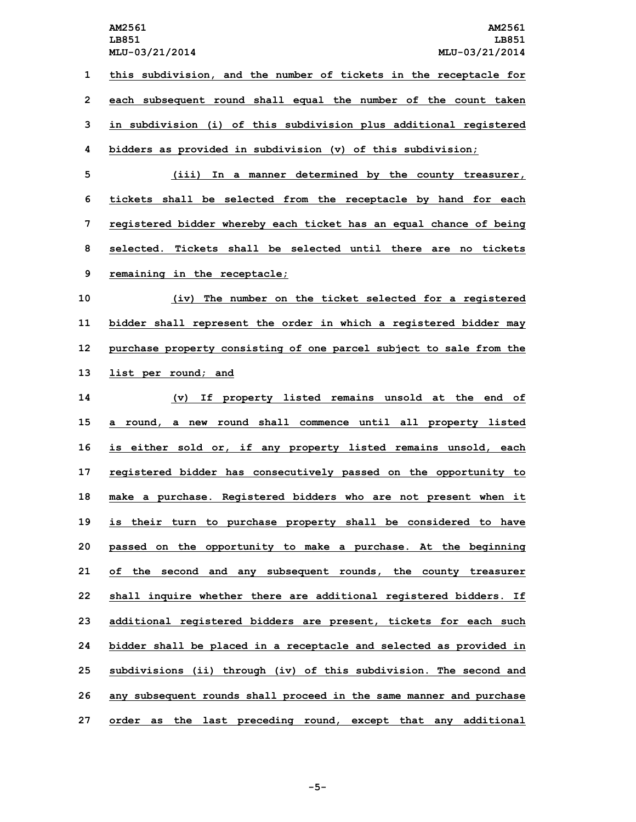**this subdivision, and the number of tickets in the receptacle for each subsequent round shall equal the number of the count taken in subdivision (i) of this subdivision plus additional registered bidders as provided in subdivision (v) of this subdivision;**

 **(iii) In <sup>a</sup> manner determined by the county treasurer, tickets shall be selected from the receptacle by hand for each registered bidder whereby each ticket has an equal chance of being selected. Tickets shall be selected until there are no tickets remaining in the receptacle;**

 **(iv) The number on the ticket selected for <sup>a</sup> registered bidder shall represent the order in which <sup>a</sup> registered bidder may purchase property consisting of one parcel subject to sale from the list per round; and**

 **(v) If property listed remains unsold at the end of <sup>a</sup> round, <sup>a</sup> new round shall commence until all property listed is either sold or, if any property listed remains unsold, each registered bidder has consecutively passed on the opportunity to make <sup>a</sup> purchase. Registered bidders who are not present when it is their turn to purchase property shall be considered to have passed on the opportunity to make <sup>a</sup> purchase. At the beginning of the second and any subsequent rounds, the county treasurer shall inquire whether there are additional registered bidders. If additional registered bidders are present, tickets for each such bidder shall be placed in <sup>a</sup> receptacle and selected as provided in subdivisions (ii) through (iv) of this subdivision. The second and any subsequent rounds shall proceed in the same manner and purchase order as the last preceding round, except that any additional**